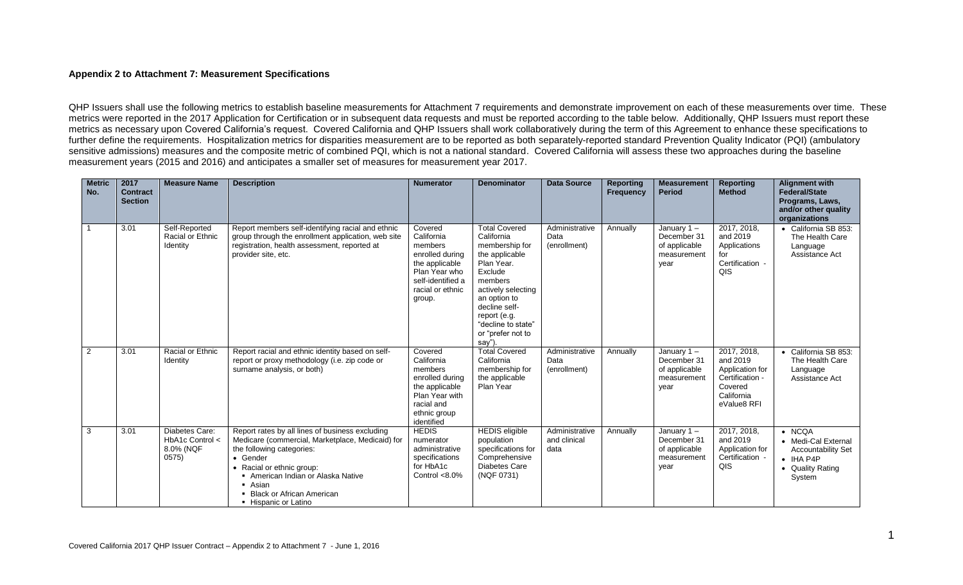## **Appendix 2 to Attachment 7: Measurement Specifications**

QHP Issuers shall use the following metrics to establish baseline measurements for Attachment 7 requirements and demonstrate improvement on each of these measurements over time. These metrics were reported in the 2017 Application for Certification or in subsequent data requests and must be reported according to the table below. Additionally, QHP Issuers must report these metrics as necessary upon Covered California's request. Covered California and QHP Issuers shall work collaboratively during the term of this Agreement to enhance these specifications to further define the requirements. Hospitalization metrics for disparities measurement are to be reported as both separately-reported standard Prevention Quality Indicator (PQI) (ambulatory sensitive admissions) measures and the composite metric of combined PQI, which is not a national standard. Covered California will assess these two approaches during the baseline measurement years (2015 and 2016) and anticipates a smaller set of measures for measurement year 2017.

| <b>Metric</b><br>No. | 2017<br><b>Contract</b><br><b>Section</b> | <b>Measure Name</b>                                     | <b>Description</b>                                                                                                                                                                                                                                                              | <b>Numerator</b>                                                                                                                          | <b>Denominator</b>                                                                                                                                                                                                                    | <b>Data Source</b>                     | <b>Reporting</b><br><b>Frequency</b> | <b>Measurement</b><br><b>Period</b>                                  | <b>Reporting</b><br><b>Method</b>                                                                     | <b>Alignment with</b><br><b>Federal/State</b><br>Programs, Laws,<br>and/or other quality<br>organizations             |
|----------------------|-------------------------------------------|---------------------------------------------------------|---------------------------------------------------------------------------------------------------------------------------------------------------------------------------------------------------------------------------------------------------------------------------------|-------------------------------------------------------------------------------------------------------------------------------------------|---------------------------------------------------------------------------------------------------------------------------------------------------------------------------------------------------------------------------------------|----------------------------------------|--------------------------------------|----------------------------------------------------------------------|-------------------------------------------------------------------------------------------------------|-----------------------------------------------------------------------------------------------------------------------|
|                      | 3.01                                      | Self-Reported<br>Racial or Ethnic<br>Identity           | Report members self-identifying racial and ethnic<br>group through the enrollment application, web site<br>registration, health assessment, reported at<br>provider site, etc.                                                                                                  | Covered<br>California<br>members<br>enrolled during<br>the applicable<br>Plan Year who<br>self-identified a<br>racial or ethnic<br>group. | <b>Total Covered</b><br>California<br>membership for<br>the applicable<br>Plan Year.<br>Exclude<br>members<br>actively selecting<br>an option to<br>decline self-<br>report (e.g.<br>"decline to state"<br>or "prefer not to<br>say") | Administrative<br>Data<br>(enrollment) | Annually                             | January 1-<br>December 31<br>of applicable<br>measurement<br>year    | 2017, 2018,<br>and 2019<br>Applications<br>for<br>Certification -<br>QIS                              | • California SB 853:<br>The Health Care<br>Language<br>Assistance Act                                                 |
| 2                    | 3.01                                      | Racial or Ethnic<br>Identity                            | Report racial and ethnic identity based on self-<br>report or proxy methodology (i.e. zip code or<br>surname analysis, or both)                                                                                                                                                 | Covered<br>California<br>members<br>enrolled during<br>the applicable<br>Plan Year with<br>racial and<br>ethnic group<br>identified       | <b>Total Covered</b><br>California<br>membership for<br>the applicable<br>Plan Year                                                                                                                                                   | Administrative<br>Data<br>(enrollment) | Annually                             | January $1 -$<br>December 31<br>of applicable<br>measurement<br>year | 2017, 2018,<br>and 2019<br>Application for<br>Certification -<br>Covered<br>California<br>eValue8 RFI | • California SB 853:<br>The Health Care<br>Language<br>Assistance Act                                                 |
| 3                    | 3.01                                      | Diabetes Care:<br>HbA1c Control <<br>8.0% (NQF<br>0575) | Report rates by all lines of business excluding<br>Medicare (commercial, Marketplace, Medicaid) for<br>the following categories:<br>• Gender<br>• Racial or ethnic group:<br>American Indian or Alaska Native<br>• Asian<br>• Black or African American<br>• Hispanic or Latino | <b>HEDIS</b><br>numerator<br>administrative<br>specifications<br>for HbA1c<br>Control $< 8.0\%$                                           | <b>HEDIS</b> eligible<br>population<br>specifications for<br>Comprehensive<br><b>Diabetes Care</b><br>(NQF 0731)                                                                                                                      | Administrative<br>and clinical<br>data | Annually                             | January 1-<br>December 31<br>of applicable<br>measurement<br>year    | 2017, 2018,<br>and 2019<br>Application for<br>Certification -<br>QIS                                  | $\bullet$ NCQA<br>• Medi-Cal External<br><b>Accountability Set</b><br>$\bullet$ IHA P4P<br>• Quality Rating<br>System |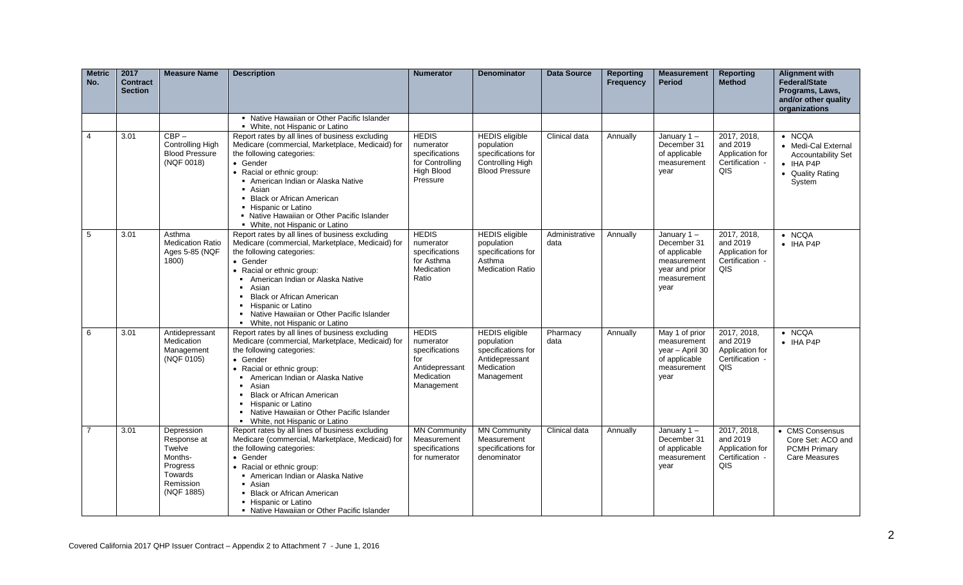| <b>Metric</b><br>No. | 2017<br><b>Contract</b><br><b>Section</b> | <b>Measure Name</b>                                                                              | <b>Description</b>                                                                                                                                                                                                                                                                                                                                                                 | <b>Numerator</b>                                                                                 | <b>Denominator</b>                                                                                      | <b>Data Source</b>     | <b>Reporting</b><br><b>Frequency</b> | <b>Measurement</b><br><b>Period</b>                                                                   | <b>Reporting</b><br><b>Method</b>                                    | <b>Alignment with</b><br>Federal/State<br>Programs, Laws,<br>and/or other quality<br>organizations                    |
|----------------------|-------------------------------------------|--------------------------------------------------------------------------------------------------|------------------------------------------------------------------------------------------------------------------------------------------------------------------------------------------------------------------------------------------------------------------------------------------------------------------------------------------------------------------------------------|--------------------------------------------------------------------------------------------------|---------------------------------------------------------------------------------------------------------|------------------------|--------------------------------------|-------------------------------------------------------------------------------------------------------|----------------------------------------------------------------------|-----------------------------------------------------------------------------------------------------------------------|
|                      |                                           |                                                                                                  | • Native Hawaiian or Other Pacific Islander<br>• White, not Hispanic or Latino                                                                                                                                                                                                                                                                                                     |                                                                                                  |                                                                                                         |                        |                                      |                                                                                                       |                                                                      |                                                                                                                       |
| 4                    | 3.01                                      | $CBP -$<br><b>Controlling High</b><br><b>Blood Pressure</b><br>(NQF 0018)                        | Report rates by all lines of business excluding<br>Medicare (commercial, Marketplace, Medicaid) for<br>the following categories:<br>• Gender<br>• Racial or ethnic group:<br>American Indian or Alaska Native<br>• Asian<br>• Black or African American<br>• Hispanic or Latino<br>• Native Hawaiian or Other Pacific Islander<br>• White, not Hispanic or Latino                  | <b>HEDIS</b><br>numerator<br>specifications<br>for Controlling<br>High Blood<br>Pressure         | <b>HEDIS</b> eligible<br>population<br>specifications for<br>Controlling High<br><b>Blood Pressure</b>  | Clinical data          | Annually                             | January $1 -$<br>December 31<br>of applicable<br>measurement<br>year                                  | 2017, 2018,<br>and 2019<br>Application for<br>Certification -<br>QIS | $\bullet$ NCQA<br>• Medi-Cal External<br><b>Accountability Set</b><br>$\bullet$ IHA P4P<br>• Quality Rating<br>System |
| 5                    | 3.01                                      | Asthma<br><b>Medication Ratio</b><br>Ages 5-85 (NQF<br>1800)                                     | Report rates by all lines of business excluding<br>Medicare (commercial, Marketplace, Medicaid) for<br>the following categories:<br>• Gender<br>• Racial or ethnic group:<br>American Indian or Alaska Native<br>$\blacksquare$<br>Asian<br><b>Black or African American</b><br>Hispanic or Latino<br>Native Hawaiian or Other Pacific Islander<br>• White, not Hispanic or Latino | <b>HEDIS</b><br>numerator<br>specifications<br>for Asthma<br>Medication<br>Ratio                 | <b>HEDIS</b> eligible<br>population<br>specifications for<br>Asthma<br><b>Medication Ratio</b>          | Administrative<br>data | Annually                             | January $1 -$<br>December 31<br>of applicable<br>measurement<br>year and prior<br>measurement<br>year | 2017, 2018,<br>and 2019<br>Application for<br>Certification -<br>QIS | $\bullet$ NCQA<br>$\bullet$ IHA P4P                                                                                   |
| 6                    | 3.01                                      | Antidepressant<br>Medication<br>Management<br>(NQF 0105)                                         | Report rates by all lines of business excluding<br>Medicare (commercial, Marketplace, Medicaid) for<br>the following categories:<br>• Gender<br>• Racial or ethnic group:<br>American Indian or Alaska Native<br>Asian<br><b>Black or African American</b><br>Hispanic or Latino<br>Native Hawaiian or Other Pacific Islander<br>• White, not Hispanic or Latino                   | <b>HEDIS</b><br>numerator<br>specifications<br>for<br>Antidepressant<br>Medication<br>Management | <b>HEDIS</b> eligible<br>population<br>specifications for<br>Antidepressant<br>Medication<br>Management | Pharmacy<br>data       | Annually                             | May 1 of prior<br>measurement<br>year - April 30<br>of applicable<br>measurement<br>year              | 2017, 2018,<br>and 2019<br>Application for<br>Certification -<br>QIS | $\bullet$ NCQA<br>$\bullet$ IHA P4P                                                                                   |
| 7                    | 3.01                                      | Depression<br>Response at<br>Twelve<br>Months-<br>Progress<br>Towards<br>Remission<br>(NQF 1885) | Report rates by all lines of business excluding<br>Medicare (commercial, Marketplace, Medicaid) for<br>the following categories:<br>• Gender<br>• Racial or ethnic group:<br>• American Indian or Alaska Native<br>• Asian<br>• Black or African American<br>• Hispanic or Latino<br>• Native Hawaiian or Other Pacific Islander                                                   | <b>MN Community</b><br>Measurement<br>specifications<br>for numerator                            | <b>MN Community</b><br>Measurement<br>specifications for<br>denominator                                 | Clinical data          | Annually                             | January $1 -$<br>December 31<br>of applicable<br>measurement<br>year                                  | 2017, 2018,<br>and 2019<br>Application for<br>Certification -<br>QIS | • CMS Consensus<br>Core Set: ACO and<br><b>PCMH Primary</b><br><b>Care Measures</b>                                   |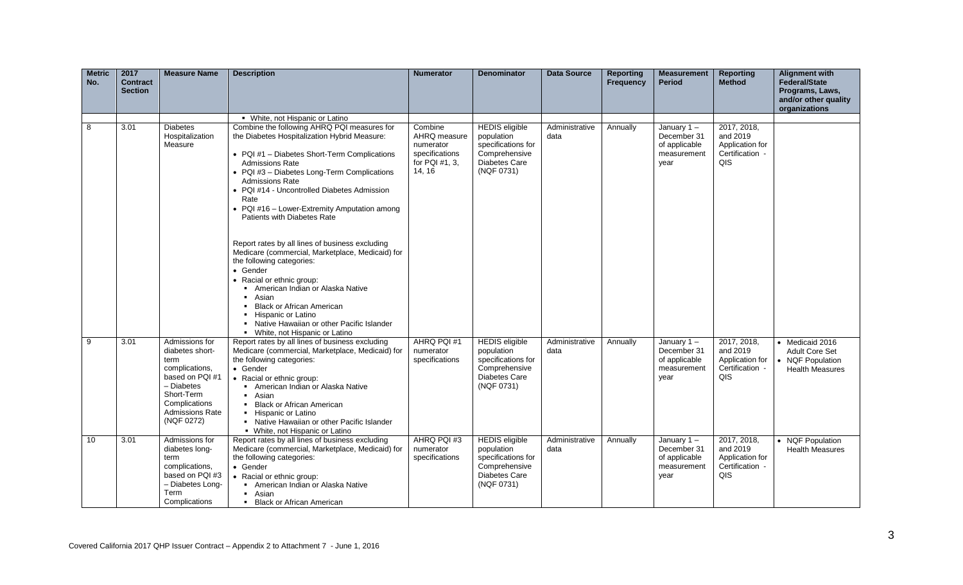| <b>Metric</b><br>No. | 2017<br><b>Contract</b><br><b>Section</b> | <b>Measure Name</b>                                                                                                                                                 | <b>Description</b>                                                                                                                                                                                                                                                                                                                                                                                                                                                                          | <b>Numerator</b>                                                                   | <b>Denominator</b>                                                                                               | <b>Data Source</b>     | <b>Reporting</b><br><b>Frequency</b> | <b>Measurement</b><br><b>Period</b>                                  | <b>Reporting</b><br><b>Method</b>                                    | <b>Alignment with</b><br><b>Federal/State</b><br>Programs, Laws,<br>and/or other quality |
|----------------------|-------------------------------------------|---------------------------------------------------------------------------------------------------------------------------------------------------------------------|---------------------------------------------------------------------------------------------------------------------------------------------------------------------------------------------------------------------------------------------------------------------------------------------------------------------------------------------------------------------------------------------------------------------------------------------------------------------------------------------|------------------------------------------------------------------------------------|------------------------------------------------------------------------------------------------------------------|------------------------|--------------------------------------|----------------------------------------------------------------------|----------------------------------------------------------------------|------------------------------------------------------------------------------------------|
|                      |                                           |                                                                                                                                                                     |                                                                                                                                                                                                                                                                                                                                                                                                                                                                                             |                                                                                    |                                                                                                                  |                        |                                      |                                                                      |                                                                      | organizations                                                                            |
|                      |                                           |                                                                                                                                                                     | • White, not Hispanic or Latino                                                                                                                                                                                                                                                                                                                                                                                                                                                             |                                                                                    |                                                                                                                  |                        |                                      |                                                                      |                                                                      |                                                                                          |
| 8                    | 3.01                                      | <b>Diabetes</b><br>Hospitalization<br>Measure                                                                                                                       | Combine the following AHRQ PQI measures for<br>the Diabetes Hospitalization Hybrid Measure:<br>• PQI #1 - Diabetes Short-Term Complications<br><b>Admissions Rate</b><br>• PQI #3 - Diabetes Long-Term Complications<br><b>Admissions Rate</b><br>• PQI #14 - Uncontrolled Diabetes Admission<br>Rate<br>• PQI #16 - Lower-Extremity Amputation among<br>Patients with Diabetes Rate<br>Report rates by all lines of business excluding<br>Medicare (commercial, Marketplace, Medicaid) for | Combine<br>AHRQ measure<br>numerator<br>specifications<br>for PQI #1, 3,<br>14, 16 | <b>HEDIS</b> eligible<br>population<br>specifications for<br>Comprehensive<br><b>Diabetes Care</b><br>(NQF 0731) | Administrative<br>data | Annually                             | January $1 -$<br>December 31<br>of applicable<br>measurement<br>year | 2017, 2018,<br>and 2019<br>Application for<br>Certification -<br>QIS |                                                                                          |
|                      |                                           |                                                                                                                                                                     | the following categories:<br>• Gender<br>• Racial or ethnic group:<br>• American Indian or Alaska Native<br>• Asian<br>• Black or African American<br>• Hispanic or Latino<br>• Native Hawaiian or other Pacific Islander<br>• White, not Hispanic or Latino                                                                                                                                                                                                                                |                                                                                    |                                                                                                                  |                        |                                      |                                                                      |                                                                      |                                                                                          |
| 9                    | 3.01                                      | Admissions for<br>diabetes short-<br>term<br>complications,<br>based on PQI #1<br>- Diabetes<br>Short-Term<br>Complications<br><b>Admissions Rate</b><br>(NQF 0272) | Report rates by all lines of business excluding<br>Medicare (commercial, Marketplace, Medicaid) for<br>the following categories:<br>• Gender<br>• Racial or ethnic group:<br>• American Indian or Alaska Native<br>• Asian<br><b>Black or African American</b><br>• Hispanic or Latino<br>• Native Hawaiian or other Pacific Islander<br>• White, not Hispanic or Latino                                                                                                                    | AHRQ PQI#1<br>numerator<br>specifications                                          | <b>HEDIS</b> eligible<br>population<br>specifications for<br>Comprehensive<br>Diabetes Care<br>(NQF 0731)        | Administrative<br>data | Annually                             | January $1 -$<br>December 31<br>of applicable<br>measurement<br>year | 2017, 2018,<br>and 2019<br>Application for<br>Certification -<br>QIS | • Medicaid 2016<br><b>Adult Core Set</b><br>• NQF Population<br><b>Health Measures</b>   |
| 10                   | 3.01                                      | Admissions for<br>diabetes long-<br>term<br>complications,<br>based on PQI #3<br>- Diabetes Long-<br>Term<br>Complications                                          | Report rates by all lines of business excluding<br>Medicare (commercial, Marketplace, Medicaid) for<br>the following categories:<br>• Gender<br>• Racial or ethnic group:<br>American Indian or Alaska Native<br>- Asian<br>• Black or African American                                                                                                                                                                                                                                     | AHRQ PQI#3<br>numerator<br>specifications                                          | <b>HEDIS</b> eligible<br>population<br>specifications for<br>Comprehensive<br>Diabetes Care<br>(NQF 0731)        | Administrative<br>data | Annually                             | January $1 -$<br>December 31<br>of applicable<br>measurement<br>year | 2017, 2018,<br>and 2019<br>Application for<br>Certification -<br>QIS | • NQF Population<br><b>Health Measures</b>                                               |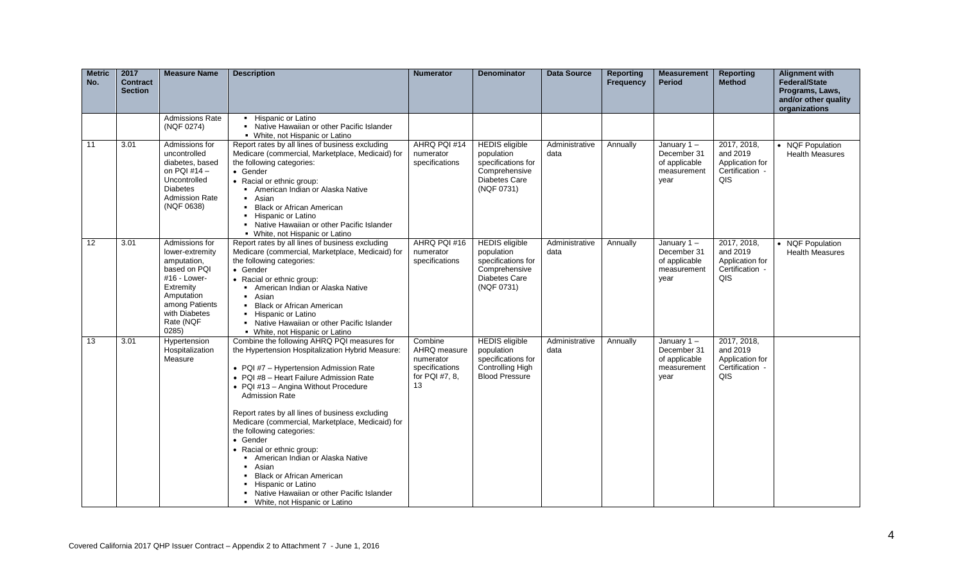| <b>Metric</b><br>No. | 2017<br><b>Contract</b><br><b>Section</b> | <b>Measure Name</b>                                                                                                                                                  | <b>Description</b>                                                                                                                                                                                                                                                                                                                                                                                                                                                                                                                                                                                                                            | <b>Numerator</b>                                                               | <b>Denominator</b>                                                                                        | <b>Data Source</b>     | <b>Reporting</b><br><b>Frequency</b> | <b>Measurement</b><br><b>Period</b>                                  | <b>Reporting</b><br><b>Method</b>                                    | <b>Alignment with</b><br><b>Federal/State</b><br>Programs, Laws,<br>and/or other quality<br>organizations |
|----------------------|-------------------------------------------|----------------------------------------------------------------------------------------------------------------------------------------------------------------------|-----------------------------------------------------------------------------------------------------------------------------------------------------------------------------------------------------------------------------------------------------------------------------------------------------------------------------------------------------------------------------------------------------------------------------------------------------------------------------------------------------------------------------------------------------------------------------------------------------------------------------------------------|--------------------------------------------------------------------------------|-----------------------------------------------------------------------------------------------------------|------------------------|--------------------------------------|----------------------------------------------------------------------|----------------------------------------------------------------------|-----------------------------------------------------------------------------------------------------------|
|                      |                                           | <b>Admissions Rate</b><br>(NQF 0274)                                                                                                                                 | • Hispanic or Latino<br>• Native Hawaiian or other Pacific Islander<br>• White, not Hispanic or Latino                                                                                                                                                                                                                                                                                                                                                                                                                                                                                                                                        |                                                                                |                                                                                                           |                        |                                      |                                                                      |                                                                      |                                                                                                           |
| 11                   | 3.01                                      | Admissions for<br>uncontrolled<br>diabetes, based<br>on PQI #14 -<br>Uncontrolled<br><b>Diabetes</b><br><b>Admission Rate</b><br>(NQF 0638)                          | Report rates by all lines of business excluding<br>Medicare (commercial, Marketplace, Medicaid) for<br>the following categories:<br>• Gender<br>• Racial or ethnic group:<br>American Indian or Alaska Native<br>• Asian<br>• Black or African American<br>• Hispanic or Latino<br>• Native Hawaiian or other Pacific Islander<br>• White, not Hispanic or Latino                                                                                                                                                                                                                                                                             | AHRQ PQI #14<br>numerator<br>specifications                                    | <b>HEDIS</b> eligible<br>population<br>specifications for<br>Comprehensive<br>Diabetes Care<br>(NQF 0731) | Administrative<br>data | Annually                             | January $1 -$<br>December 31<br>of applicable<br>measurement<br>year | 2017, 2018,<br>and 2019<br>Application for<br>Certification -<br>QIS | • NQF Population<br><b>Health Measures</b>                                                                |
| 12                   | 3.01                                      | Admissions for<br>lower-extremity<br>amputation,<br>based on PQI<br>#16 - Lower-<br>Extremity<br>Amputation<br>among Patients<br>with Diabetes<br>Rate (NQF<br>0285) | Report rates by all lines of business excluding<br>Medicare (commercial, Marketplace, Medicaid) for<br>the following categories:<br>• Gender<br>• Racial or ethnic group:<br>American Indian or Alaska Native<br>Asian<br><b>Black or African American</b><br>• Hispanic or Latino<br>• Native Hawaiian or other Pacific Islander<br>• White, not Hispanic or Latino                                                                                                                                                                                                                                                                          | AHRQ PQI #16<br>numerator<br>specifications                                    | <b>HEDIS</b> eligible<br>population<br>specifications for<br>Comprehensive<br>Diabetes Care<br>(NQF 0731) | Administrative<br>data | Annually                             | January $1 -$<br>December 31<br>of applicable<br>measurement<br>year | 2017, 2018,<br>and 2019<br>Application for<br>Certification -<br>QIS | • NQF Population<br><b>Health Measures</b>                                                                |
| 13                   | 3.01                                      | Hypertension<br>Hospitalization<br>Measure                                                                                                                           | Combine the following AHRQ PQI measures for<br>the Hypertension Hospitalization Hybrid Measure:<br>• PQI #7 - Hypertension Admission Rate<br>• PQI #8 - Heart Failure Admission Rate<br>• PQI #13 - Angina Without Procedure<br><b>Admission Rate</b><br>Report rates by all lines of business excluding<br>Medicare (commercial, Marketplace, Medicaid) for<br>the following categories:<br>• Gender<br>• Racial or ethnic group:<br>• American Indian or Alaska Native<br>Asian<br>$\blacksquare$<br><b>Black or African American</b><br>Hispanic or Latino<br>Native Hawaiian or other Pacific Islander<br>• White, not Hispanic or Latino | Combine<br>AHRQ measure<br>numerator<br>specifications<br>for PQI #7, 8,<br>13 | <b>HEDIS</b> eligible<br>population<br>specifications for<br>Controlling High<br><b>Blood Pressure</b>    | Administrative<br>data | Annually                             | January $1 -$<br>December 31<br>of applicable<br>measurement<br>year | 2017, 2018,<br>and 2019<br>Application for<br>Certification -<br>QIS |                                                                                                           |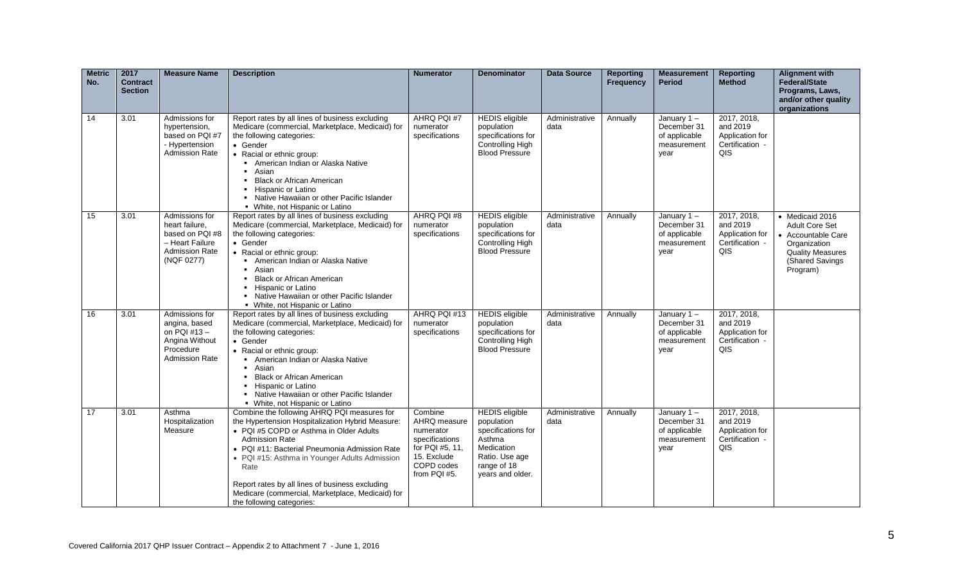| <b>Metric</b><br>No. | 2017<br><b>Contract</b><br><b>Section</b> | <b>Measure Name</b>                                                                                           | <b>Description</b>                                                                                                                                                                                                                                                                                                                                                                                                | <b>Numerator</b>                                                                                                       | <b>Denominator</b>                                                                                                                            | <b>Data Source</b>     | <b>Reporting</b><br><b>Frequency</b> | <b>Measurement</b><br><b>Period</b>                                  | <b>Reporting</b><br><b>Method</b>                                    | <b>Alignment with</b><br>Federal/State<br>Programs, Laws,<br>and/or other quality<br>organizations                                       |
|----------------------|-------------------------------------------|---------------------------------------------------------------------------------------------------------------|-------------------------------------------------------------------------------------------------------------------------------------------------------------------------------------------------------------------------------------------------------------------------------------------------------------------------------------------------------------------------------------------------------------------|------------------------------------------------------------------------------------------------------------------------|-----------------------------------------------------------------------------------------------------------------------------------------------|------------------------|--------------------------------------|----------------------------------------------------------------------|----------------------------------------------------------------------|------------------------------------------------------------------------------------------------------------------------------------------|
| 14                   | 3.01                                      | Admissions for<br>hypertension,<br>based on PQI #7<br>- Hypertension<br>Admission Rate                        | Report rates by all lines of business excluding<br>Medicare (commercial, Marketplace, Medicaid) for<br>the following categories:<br>• Gender<br>• Racial or ethnic group:<br>• American Indian or Alaska Native<br>• Asian<br><b>Black or African American</b><br>• Hispanic or Latino<br>• Native Hawaiian or other Pacific Islander<br>• White, not Hispanic or Latino                                          | AHRQ PQI #7<br>numerator<br>specifications                                                                             | <b>HEDIS</b> eligible<br>population<br>specifications for<br>Controlling High<br><b>Blood Pressure</b>                                        | Administrative<br>data | Annually                             | January $1 -$<br>December 31<br>of applicable<br>measurement<br>year | 2017, 2018.<br>and 2019<br>Application for<br>Certification -<br>QIS |                                                                                                                                          |
| 15                   | 3.01                                      | Admissions for<br>heart failure,<br>based on PQI #8<br>- Heart Failure<br><b>Admission Rate</b><br>(NQF 0277) | Report rates by all lines of business excluding<br>Medicare (commercial, Marketplace, Medicaid) for<br>the following categories:<br>• Gender<br>• Racial or ethnic group:<br>American Indian or Alaska Native<br>• Asian<br><b>Black or African American</b><br>• Hispanic or Latino<br>Native Hawaiian or other Pacific Islander<br>• White, not Hispanic or Latino                                              | AHRQ PQI #8<br>numerator<br>specifications                                                                             | <b>HEDIS</b> eligible<br>population<br>specifications for<br>Controlling High<br><b>Blood Pressure</b>                                        | Administrative<br>data | Annually                             | January $1 -$<br>December 31<br>of applicable<br>measurement<br>year | 2017, 2018,<br>and 2019<br>Application for<br>Certification -<br>QIS | • Medicaid 2016<br><b>Adult Core Set</b><br>• Accountable Care<br>Organization<br><b>Quality Measures</b><br>(Shared Savings<br>Program) |
| 16                   | 3.01                                      | Admissions for<br>angina, based<br>on PQI $#13 -$<br>Angina Without<br>Procedure<br><b>Admission Rate</b>     | Report rates by all lines of business excluding<br>Medicare (commercial, Marketplace, Medicaid) for<br>the following categories:<br>• Gender<br>• Racial or ethnic group:<br>• American Indian or Alaska Native<br>Asian<br>$\blacksquare$<br><b>Black or African American</b><br>Hispanic or Latino<br>• Native Hawaiian or other Pacific Islander<br>• White, not Hispanic or Latino                            | AHRQ PQI #13<br>numerator<br>specifications                                                                            | <b>HEDIS</b> eligible<br>population<br>specifications for<br>Controlling High<br><b>Blood Pressure</b>                                        | Administrative<br>data | Annually                             | January $1 -$<br>December 31<br>of applicable<br>measurement<br>year | 2017, 2018,<br>and 2019<br>Application for<br>Certification -<br>QIS |                                                                                                                                          |
| 17                   | 3.01                                      | Asthma<br>Hospitalization<br>Measure                                                                          | Combine the following AHRQ PQI measures for<br>the Hypertension Hospitalization Hybrid Measure:<br>• PQI #5 COPD or Asthma in Older Adults<br><b>Admission Rate</b><br>• PQI #11: Bacterial Pneumonia Admission Rate<br>• PQI #15: Asthma in Younger Adults Admission<br>Rate<br>Report rates by all lines of business excluding<br>Medicare (commercial, Marketplace, Medicaid) for<br>the following categories: | Combine<br>AHRQ measure<br>numerator<br>specifications<br>for PQI #5, 11.<br>15. Exclude<br>COPD codes<br>from PQI #5. | <b>HEDIS</b> eligible<br>population<br>specifications for<br>Asthma<br><b>Medication</b><br>Ratio. Use age<br>range of 18<br>years and older. | Administrative<br>data | Annually                             | January 1-<br>December 31<br>of applicable<br>measurement<br>year    | 2017, 2018,<br>and 2019<br>Application for<br>Certification -<br>QIS |                                                                                                                                          |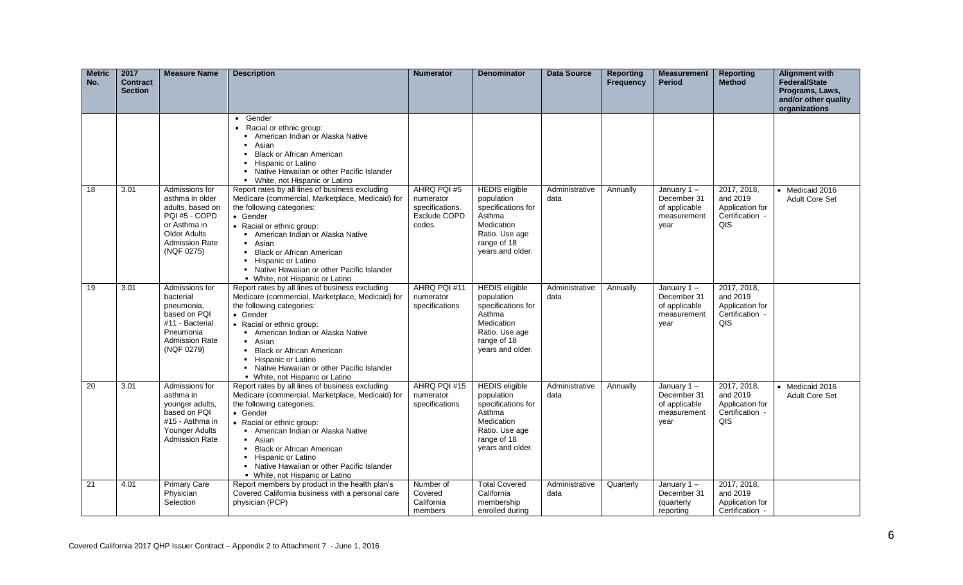| <b>Metric</b><br>No. | 2017<br><b>Contract</b><br><b>Section</b> | <b>Measure Name</b>                                                                                                                                  | <b>Description</b>                                                                                                                                                                                                                                                                                                                                                  | <b>Numerator</b>                                                      | <b>Denominator</b>                                                                                                                            | <b>Data Source</b>     | <b>Reporting</b><br>Frequency | <b>Measurement</b><br><b>Period</b>                                  | <b>Reporting</b><br><b>Method</b>                                    | <b>Alignment with</b><br>Federal/State<br>Programs, Laws,<br>and/or other quality<br>organizations |
|----------------------|-------------------------------------------|------------------------------------------------------------------------------------------------------------------------------------------------------|---------------------------------------------------------------------------------------------------------------------------------------------------------------------------------------------------------------------------------------------------------------------------------------------------------------------------------------------------------------------|-----------------------------------------------------------------------|-----------------------------------------------------------------------------------------------------------------------------------------------|------------------------|-------------------------------|----------------------------------------------------------------------|----------------------------------------------------------------------|----------------------------------------------------------------------------------------------------|
|                      |                                           |                                                                                                                                                      | • Gender<br>Racial or ethnic group:<br>American Indian or Alaska Native<br>$\blacksquare$<br>Asian<br><b>Black or African American</b><br>Hispanic or Latino<br>Native Hawaiian or other Pacific Islander<br>$\blacksquare$<br>• White, not Hispanic or Latino                                                                                                      |                                                                       |                                                                                                                                               |                        |                               |                                                                      |                                                                      |                                                                                                    |
| 18                   | 3.01                                      | Admissions for<br>asthma in older<br>adults, based on<br>PQI #5 - COPD<br>or Asthma in<br><b>Older Adults</b><br><b>Admission Rate</b><br>(NQF 0275) | Report rates by all lines of business excluding<br>Medicare (commercial, Marketplace, Medicaid) for<br>the following categories:<br>• Gender<br>• Racial or ethnic group:<br>American Indian or Alaska Native<br>• Asian<br>• Black or African American<br>• Hispanic or Latino<br>• Native Hawaiian or other Pacific Islander<br>• White, not Hispanic or Latino   | AHRQ PQI #5<br>numerator<br>specifications.<br>Exclude COPD<br>codes. | <b>HEDIS</b> eligible<br>population<br>specifications for<br>Asthma<br>Medication<br>Ratio. Use age<br>range of 18<br>years and older.        | Administrative<br>data | Annually                      | January 1-<br>December 31<br>of applicable<br>measurement<br>year    | 2017, 2018,<br>and 2019<br>Application for<br>Certification -<br>QIS | • Medicaid 2016<br><b>Adult Core Set</b>                                                           |
| 19                   | 3.01                                      | Admissions for<br>bacterial<br>pneumonia,<br>based on PQI<br>#11 - Bacterial<br>Pneumonia<br><b>Admission Rate</b><br>(NQF 0279)                     | Report rates by all lines of business excluding<br>Medicare (commercial, Marketplace, Medicaid) for<br>the following categories:<br>• Gender<br>• Racial or ethnic group:<br>• American Indian or Alaska Native<br>• Asian<br>• Black or African American<br>• Hispanic or Latino<br>• Native Hawaiian or other Pacific Islander<br>• White, not Hispanic or Latino | AHRQ PQI #11<br>numerator<br>specifications                           | <b>HEDIS</b> eligible<br>population<br>specifications for<br>Asthma<br><b>Medication</b><br>Ratio. Use age<br>range of 18<br>years and older. | Administrative<br>data | Annually                      | January 1-<br>December 31<br>of applicable<br>measurement<br>year    | 2017, 2018,<br>and 2019<br>Application for<br>Certification -<br>QIS |                                                                                                    |
| 20                   | 3.01                                      | Admissions for<br>asthma in<br>younger adults,<br>based on PQI<br>#15 - Asthma in<br>Younger Adults<br><b>Admission Rate</b>                         | Report rates by all lines of business excluding<br>Medicare (commercial, Marketplace, Medicaid) for<br>the following categories:<br>• Gender<br>• Racial or ethnic group:<br>• American Indian or Alaska Native<br>• Asian<br>• Black or African American<br>Hispanic or Latino<br>• Native Hawaiian or other Pacific Islander<br>• White, not Hispanic or Latino   | AHRQ PQI #15<br>numerator<br>specifications                           | <b>HEDIS</b> eligible<br>population<br>specifications for<br>Asthma<br>Medication<br>Ratio. Use age<br>range of 18<br>years and older.        | Administrative<br>data | Annually                      | January $1 -$<br>December 31<br>of applicable<br>measurement<br>year | 2017, 2018,<br>and 2019<br>Application for<br>Certification -<br>QIS | • Medicaid 2016<br><b>Adult Core Set</b>                                                           |
| 21                   | 4.01                                      | <b>Primary Care</b><br>Physician<br>Selection                                                                                                        | Report members by product in the health plan's<br>Covered California business with a personal care<br>physician (PCP)                                                                                                                                                                                                                                               | Number of<br>Covered<br>California<br>members                         | <b>Total Covered</b><br>California<br>membership<br>enrolled during                                                                           | Administrative<br>data | Quarterly                     | January 1-<br>December 31<br>(quarterly<br>reporting                 | 2017, 2018,<br>and 2019<br>Application for<br>Certification -        |                                                                                                    |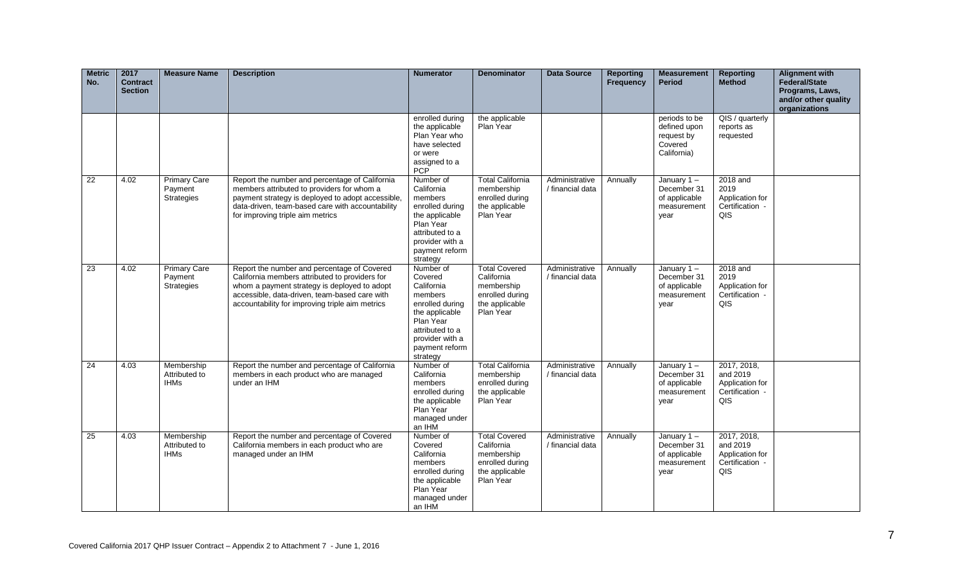| <b>Metric</b><br>No. | 2017<br><b>Contract</b><br><b>Section</b> | <b>Measure Name</b>                          | <b>Description</b>                                                                                                                                                                                                                                | <b>Numerator</b>                                                                                                                                                    | <b>Denominator</b>                                                                                 | <b>Data Source</b>                 | <b>Reporting</b><br><b>Frequency</b> | <b>Measurement</b><br><b>Period</b>                                   | <b>Reporting</b><br><b>Method</b>                                    | <b>Alignment with</b><br>Federal/State<br>Programs, Laws,<br>and/or other quality<br>organizations |
|----------------------|-------------------------------------------|----------------------------------------------|---------------------------------------------------------------------------------------------------------------------------------------------------------------------------------------------------------------------------------------------------|---------------------------------------------------------------------------------------------------------------------------------------------------------------------|----------------------------------------------------------------------------------------------------|------------------------------------|--------------------------------------|-----------------------------------------------------------------------|----------------------------------------------------------------------|----------------------------------------------------------------------------------------------------|
|                      |                                           |                                              |                                                                                                                                                                                                                                                   | enrolled during<br>the applicable<br>Plan Year who<br>have selected<br>or were<br>assigned to a<br>PCP                                                              | the applicable<br>Plan Year                                                                        |                                    |                                      | periods to be<br>defined upon<br>request by<br>Covered<br>California) | QIS / quarterly<br>reports as<br>requested                           |                                                                                                    |
| $\overline{22}$      | 4.02                                      | <b>Primary Care</b><br>Payment<br>Strategies | Report the number and percentage of California<br>members attributed to providers for whom a<br>payment strategy is deployed to adopt accessible,<br>data-driven, team-based care with accountability<br>for improving triple aim metrics         | Number of<br>California<br>members<br>enrolled during<br>the applicable<br>Plan Year<br>attributed to a<br>provider with a<br>payment reform<br>strategy            | <b>Total California</b><br>membership<br>enrolled during<br>the applicable<br>Plan Year            | Administrative<br>/ financial data | Annually                             | January $1 -$<br>December 31<br>of applicable<br>measurement<br>year  | 2018 and<br>2019<br>Application for<br>Certification -<br>QIS        |                                                                                                    |
| 23                   | 4.02                                      | <b>Primary Care</b><br>Payment<br>Strategies | Report the number and percentage of Covered<br>California members attributed to providers for<br>whom a payment strategy is deployed to adopt<br>accessible, data-driven, team-based care with<br>accountability for improving triple aim metrics | Number of<br>Covered<br>California<br>members<br>enrolled during<br>the applicable<br>Plan Year<br>attributed to a<br>provider with a<br>payment reform<br>strategy | <b>Total Covered</b><br>California<br>membership<br>enrolled during<br>the applicable<br>Plan Year | Administrative<br>/ financial data | Annually                             | January $1 -$<br>December 31<br>of applicable<br>measurement<br>year  | 2018 and<br>2019<br>Application for<br>Certification -<br>QIS        |                                                                                                    |
| 24                   | 4.03                                      | Membership<br>Attributed to<br><b>IHMs</b>   | Report the number and percentage of California<br>members in each product who are managed<br>under an IHM                                                                                                                                         | Number of<br>California<br>members<br>enrolled during<br>the applicable<br>Plan Year<br>managed under<br>an IHM                                                     | <b>Total California</b><br>membership<br>enrolled during<br>the applicable<br>Plan Year            | Administrative<br>/ financial data | Annually                             | January 1-<br>December 31<br>of applicable<br>measurement<br>year     | 2017, 2018,<br>and 2019<br>Application for<br>Certification -<br>QIS |                                                                                                    |
| 25                   | 4.03                                      | Membership<br>Attributed to<br><b>IHMs</b>   | Report the number and percentage of Covered<br>California members in each product who are<br>managed under an IHM                                                                                                                                 | Number of<br>Covered<br>California<br>members<br>enrolled during<br>the applicable<br>Plan Year<br>managed under<br>an IHM                                          | <b>Total Covered</b><br>California<br>membership<br>enrolled during<br>the applicable<br>Plan Year | Administrative<br>/ financial data | Annually                             | January 1-<br>December 31<br>of applicable<br>measurement<br>year     | 2017, 2018,<br>and 2019<br>Application for<br>Certification -<br>QIS |                                                                                                    |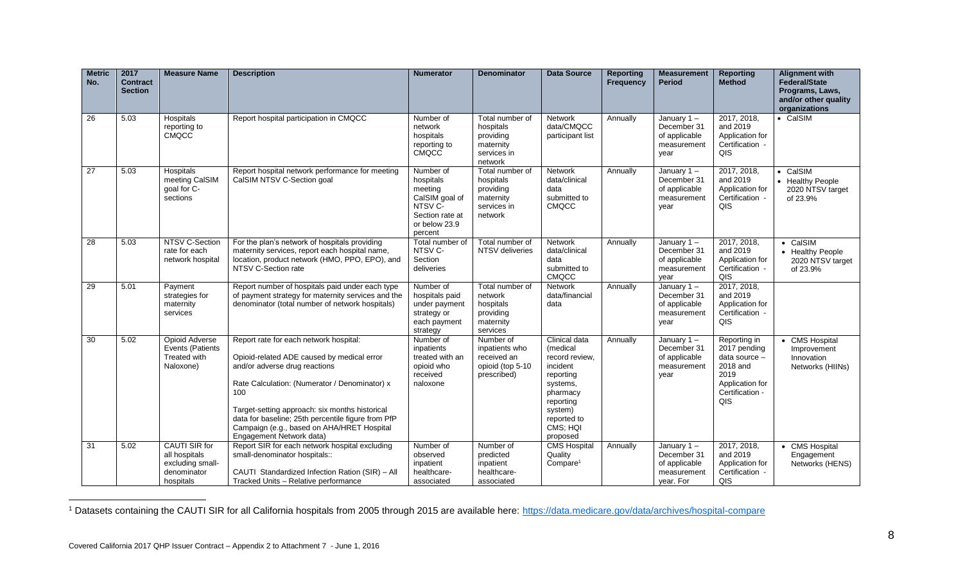| <b>Metric</b><br>No. | 2017<br><b>Contract</b><br><b>Section</b> | <b>Measure Name</b>                                                                   | <b>Description</b>                                                                                                                                                                                                                                                                                                                                              | <b>Numerator</b>                                                                                              | <b>Denominator</b>                                                               | <b>Data Source</b>                                                                                                                                          | <b>Reporting</b><br>Frequency | <b>Measurement</b><br><b>Period</b>                                       | <b>Reporting</b><br><b>Method</b>                                                                              | <b>Alignment with</b><br><b>Federal/State</b><br>Programs, Laws,<br>and/or other quality<br>organizations |
|----------------------|-------------------------------------------|---------------------------------------------------------------------------------------|-----------------------------------------------------------------------------------------------------------------------------------------------------------------------------------------------------------------------------------------------------------------------------------------------------------------------------------------------------------------|---------------------------------------------------------------------------------------------------------------|----------------------------------------------------------------------------------|-------------------------------------------------------------------------------------------------------------------------------------------------------------|-------------------------------|---------------------------------------------------------------------------|----------------------------------------------------------------------------------------------------------------|-----------------------------------------------------------------------------------------------------------|
| 26                   | 5.03                                      | Hospitals<br>reporting to<br><b>CMQCC</b>                                             | Report hospital participation in CMQCC                                                                                                                                                                                                                                                                                                                          | Number of<br>network<br>hospitals<br>reporting to<br><b>CMQCC</b>                                             | Total number of<br>hospitals<br>providing<br>maternity<br>services in<br>network | <b>Network</b><br>data/CMQCC<br>participant list                                                                                                            | Annually                      | January $1 -$<br>December 31<br>of applicable<br>measurement<br>year      | 2017, 2018,<br>and 2019<br>Application for<br>Certification -<br>QIS                                           | • CalSIM                                                                                                  |
| 27                   | 5.03                                      | Hospitals<br>meeting CalSIM<br>goal for C-<br>sections                                | Report hospital network performance for meeting<br>CalSIM NTSV C-Section goal                                                                                                                                                                                                                                                                                   | Number of<br>hospitals<br>meeting<br>CalSIM goal of<br>NTSV C-<br>Section rate at<br>or below 23.9<br>percent | Total number of<br>hospitals<br>providing<br>maternity<br>services in<br>network | <b>Network</b><br>data/clinical<br>data<br>submitted to<br><b>CMQCC</b>                                                                                     | Annually                      | January 1-<br>December 31<br>of applicable<br>measurement<br>year         | 2017, 2018,<br>and 2019<br>Application for<br>Certification -<br>QIS                                           | • CalSIM<br>• Healthy People<br>2020 NTSV target<br>of 23.9%                                              |
| 28                   | 5.03                                      | NTSV C-Section<br>rate for each<br>network hospital                                   | For the plan's network of hospitals providing<br>maternity services, report each hospital name,<br>location, product network (HMO, PPO, EPO), and<br>NTSV C-Section rate                                                                                                                                                                                        | Total number of<br>NTSV C-<br>Section<br>deliveries                                                           | Total number of<br>NTSV deliveries                                               | Network<br>data/clinical<br>data<br>submitted to<br><b>CMQCC</b>                                                                                            | Annually                      | January $1 -$<br>December 31<br>of applicable<br>measurement<br>year      | 2017, 2018,<br>and 2019<br>Application for<br>Certification -<br>QIS                                           | • CalSIM<br>• Healthy People<br>2020 NTSV target<br>of 23.9%                                              |
| 29                   | 5.01                                      | Payment<br>strategies for<br>maternity<br>services                                    | Report number of hospitals paid under each type<br>of payment strategy for maternity services and the<br>denominator (total number of network hospitals)                                                                                                                                                                                                        | Number of<br>hospitals paid<br>under payment<br>strategy or<br>each payment<br>strategy                       | Total number of<br>network<br>hospitals<br>providing<br>maternity<br>services    | <b>Network</b><br>data/financial<br>data                                                                                                                    | Annually                      | January $1 -$<br>December 31<br>of applicable<br>measurement<br>year      | 2017, 2018,<br>and 2019<br>Application for<br>Certification -<br>QIS                                           |                                                                                                           |
| $\overline{30}$      | 5.02                                      | <b>Opioid Adverse</b><br>Events (Patients<br>Treated with<br>Naloxone)                | Report rate for each network hospital:<br>Opioid-related ADE caused by medical error<br>and/or adverse drug reactions<br>Rate Calculation: (Numerator / Denominator) x<br>100<br>Target-setting approach: six months historical<br>data for baseline; 25th percentile figure from PfP<br>Campaign (e.g., based on AHA/HRET Hospital<br>Engagement Network data) | Number of<br>inpatients<br>treated with an<br>opioid who<br>received<br>naloxone                              | Number of<br>inpatients who<br>received an<br>opioid (top 5-10<br>prescribed)    | Clinical data<br>(medical<br>record review,<br>incident<br>reporting<br>systems,<br>pharmacy<br>reporting<br>system)<br>reported to<br>CMS; HQI<br>proposed | Annually                      | January 1-<br>December 31<br>of applicable<br>measurement<br>year         | Reporting in<br>2017 pending<br>data source -<br>2018 and<br>2019<br>Application for<br>Certification -<br>QIS | • CMS Hospital<br>Improvement<br>Innovation<br>Networks (HIINs)                                           |
| 31                   | 5.02                                      | <b>CAUTI SIR for</b><br>all hospitals<br>excluding small-<br>denominator<br>hospitals | Report SIR for each network hospital excluding<br>small-denominator hospitals::<br>CAUTI Standardized Infection Ration (SIR) - All<br>Tracked Units - Relative performance                                                                                                                                                                                      | Number of<br>observed<br>inpatient<br>healthcare-<br>associated                                               | Number of<br>predicted<br>inpatient<br>healthcare-<br>associated                 | <b>CMS Hospital</b><br>Quality<br>Compare <sup>1</sup>                                                                                                      | Annually                      | January $1 -$<br>December 31<br>of applicable<br>measurement<br>vear. For | 2017, 2018,<br>and 2019<br>Application for<br>Certification -<br>QIS                                           | • CMS Hospital<br>Engagement<br>Networks (HENS)                                                           |

 $\overline{a}$ <sup>1</sup> Datasets containing the CAUTI SIR for all California hospitals from 2005 through 2015 are available here:<https://data.medicare.gov/data/archives/hospital-compare>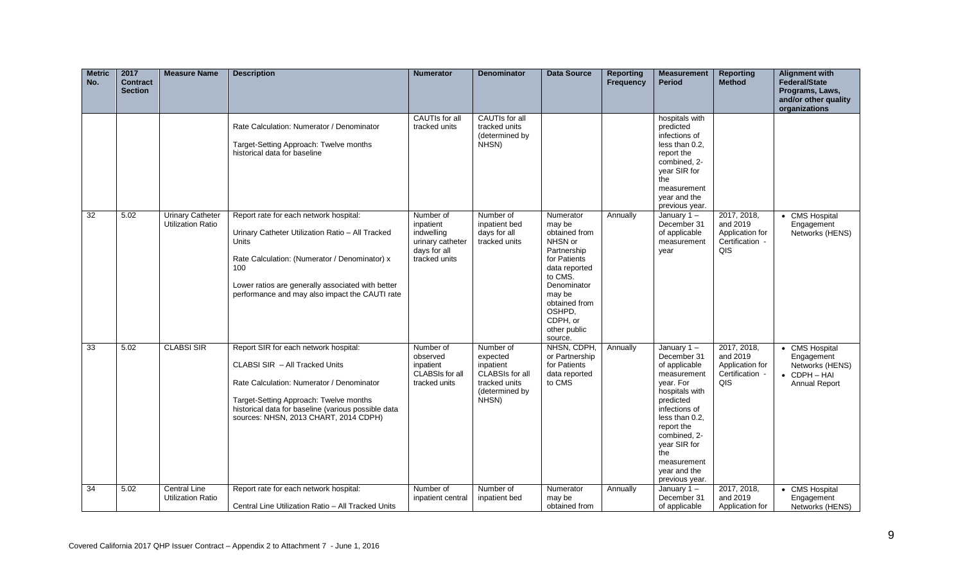| <b>Metric</b><br>No. | 2017<br><b>Contract</b><br><b>Section</b> | <b>Measure Name</b>                                 | <b>Description</b>                                                                                                                                                                                                                                                        | <b>Numerator</b>                                                                          | <b>Denominator</b>                                                                                | <b>Data Source</b>                                                                                                                                                                                    | <b>Reporting</b><br>Frequency | <b>Measurement</b><br><b>Period</b>                                                                                                                                                                                                            | <b>Reporting</b><br><b>Method</b>                                    | <b>Alignment with</b><br><b>Federal/State</b><br>Programs, Laws,<br>and/or other quality<br>organizations |
|----------------------|-------------------------------------------|-----------------------------------------------------|---------------------------------------------------------------------------------------------------------------------------------------------------------------------------------------------------------------------------------------------------------------------------|-------------------------------------------------------------------------------------------|---------------------------------------------------------------------------------------------------|-------------------------------------------------------------------------------------------------------------------------------------------------------------------------------------------------------|-------------------------------|------------------------------------------------------------------------------------------------------------------------------------------------------------------------------------------------------------------------------------------------|----------------------------------------------------------------------|-----------------------------------------------------------------------------------------------------------|
|                      |                                           |                                                     | Rate Calculation: Numerator / Denominator<br>Target-Setting Approach: Twelve months<br>historical data for baseline                                                                                                                                                       | <b>CAUTIs for all</b><br>tracked units                                                    | <b>CAUTIs for all</b><br>tracked units<br>(determined by<br>NHSN)                                 |                                                                                                                                                                                                       |                               | hospitals with<br>predicted<br>infections of<br>less than 0.2,<br>report the<br>combined, 2-<br>year SIR for<br>the<br>measurement<br>year and the<br>previous year.                                                                           |                                                                      |                                                                                                           |
| $\overline{32}$      | 5.02                                      | <b>Urinary Catheter</b><br><b>Utilization Ratio</b> | Report rate for each network hospital:<br>Urinary Catheter Utilization Ratio - All Tracked<br><b>Units</b><br>Rate Calculation: (Numerator / Denominator) x<br>100<br>Lower ratios are generally associated with better<br>performance and may also impact the CAUTI rate | Number of<br>inpatient<br>indwelling<br>urinary catheter<br>days for all<br>tracked units | Number of<br>inpatient bed<br>days for all<br>tracked units                                       | Numerator<br>may be<br>obtained from<br>NHSN or<br>Partnership<br>for Patients<br>data reported<br>to CMS.<br>Denominator<br>may be<br>obtained from<br>OSHPD,<br>CDPH, or<br>other public<br>source. | Annually                      | January $1 -$<br>December 31<br>of applicable<br>measurement<br>year                                                                                                                                                                           | 2017, 2018,<br>and 2019<br>Application for<br>Certification -<br>QIS | • CMS Hospital<br>Engagement<br>Networks (HENS)                                                           |
| 33                   | 5.02                                      | <b>CLABSI SIR</b>                                   | Report SIR for each network hospital:<br>CLABSI SIR - All Tracked Units<br>Rate Calculation: Numerator / Denominator<br>Target-Setting Approach: Twelve months<br>historical data for baseline (various possible data<br>sources: NHSN, 2013 CHART, 2014 CDPH)            | Number of<br>observed<br>inpatient<br><b>CLABSIs for all</b><br>tracked units             | Number of<br>expected<br>inpatient<br>CLABSIs for all<br>tracked units<br>(determined by<br>NHSN) | NHSN, CDPH,<br>or Partnership<br>for Patients<br>data reported<br>to CMS                                                                                                                              | Annually                      | January 1-<br>December 31<br>of applicable<br>measurement<br>year. For<br>hospitals with<br>predicted<br>infections of<br>less than 0.2,<br>report the<br>combined, 2-<br>year SIR for<br>the<br>measurement<br>year and the<br>previous year. | 2017, 2018,<br>and 2019<br>Application for<br>Certification -<br>QIS | • CMS Hospital<br>Engagement<br>Networks (HENS)<br>$\bullet$ CDPH $-$ HAI<br>Annual Report                |
| $\overline{34}$      | 5.02                                      | <b>Central Line</b><br><b>Utilization Ratio</b>     | Report rate for each network hospital:<br>Central Line Utilization Ratio - All Tracked Units                                                                                                                                                                              | Number of<br>inpatient central                                                            | Number of<br>inpatient bed                                                                        | Numerator<br>may be<br>obtained from                                                                                                                                                                  | Annually                      | January $1 -$<br>December 31<br>of applicable                                                                                                                                                                                                  | 2017, 2018,<br>and 2019<br>Application for                           | • CMS Hospital<br>Engagement<br>Networks (HENS)                                                           |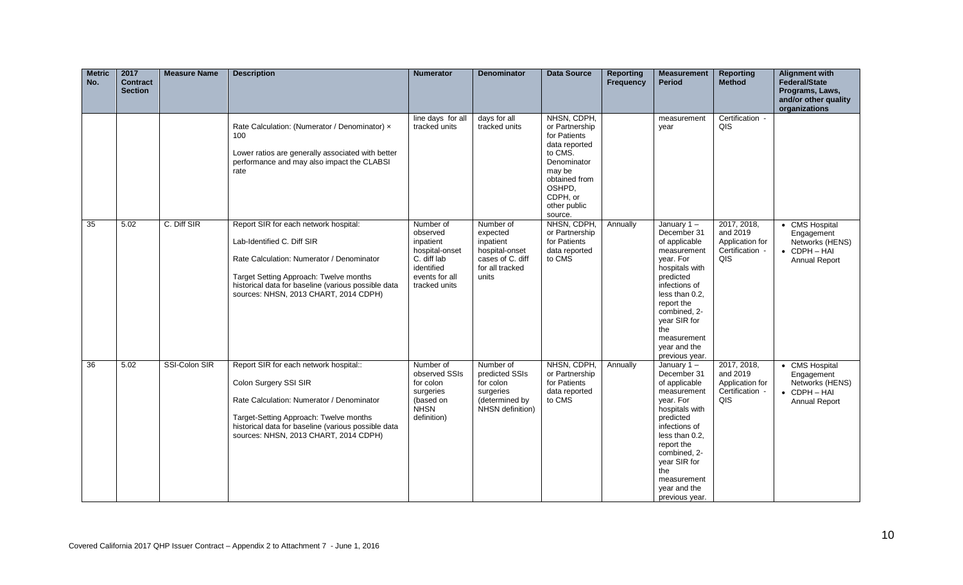| <b>Metric</b><br>No. | 2017<br><b>Contract</b><br><b>Section</b> | <b>Measure Name</b> | <b>Description</b>                                                                                                                                                                                                                                         | <b>Numerator</b>                                                                                                     | <b>Denominator</b>                                                                                   | <b>Data Source</b>                                                                                                                                                   | <b>Reporting</b><br><b>Frequency</b> | <b>Measurement</b><br><b>Period</b>                                                                                                                                                                                                               | <b>Reporting</b><br><b>Method</b>                                    | <b>Alignment with</b><br><b>Federal/State</b><br>Programs, Laws,<br>and/or other quality<br>organizations |
|----------------------|-------------------------------------------|---------------------|------------------------------------------------------------------------------------------------------------------------------------------------------------------------------------------------------------------------------------------------------------|----------------------------------------------------------------------------------------------------------------------|------------------------------------------------------------------------------------------------------|----------------------------------------------------------------------------------------------------------------------------------------------------------------------|--------------------------------------|---------------------------------------------------------------------------------------------------------------------------------------------------------------------------------------------------------------------------------------------------|----------------------------------------------------------------------|-----------------------------------------------------------------------------------------------------------|
|                      |                                           |                     | Rate Calculation: (Numerator / Denominator) x<br>100<br>Lower ratios are generally associated with better<br>performance and may also impact the CLABSI<br>rate                                                                                            | line days for all<br>tracked units                                                                                   | days for all<br>tracked units                                                                        | NHSN, CDPH,<br>or Partnership<br>for Patients<br>data reported<br>to CMS.<br>Denominator<br>may be<br>obtained from<br>OSHPD,<br>CDPH, or<br>other public<br>source. |                                      | measurement<br>year                                                                                                                                                                                                                               | Certification -<br>QIS                                               |                                                                                                           |
| $\overline{35}$      | 5.02                                      | C. Diff SIR         | Report SIR for each network hospital:<br>Lab-Identified C. Diff SIR<br>Rate Calculation: Numerator / Denominator<br>Target Setting Approach: Twelve months<br>historical data for baseline (various possible data<br>sources: NHSN, 2013 CHART, 2014 CDPH) | Number of<br>observed<br>inpatient<br>hospital-onset<br>C. diff lab<br>identified<br>events for all<br>tracked units | Number of<br>expected<br>inpatient<br>hospital-onset<br>cases of C. diff<br>for all tracked<br>units | NHSN, CDPH,<br>or Partnership<br>for Patients<br>data reported<br>to CMS                                                                                             | Annually                             | January $1 -$<br>December 31<br>of applicable<br>measurement<br>year. For<br>hospitals with<br>predicted<br>infections of<br>less than 0.2,<br>report the<br>combined, 2-<br>year SIR for<br>the<br>measurement<br>year and the<br>previous year. | 2017, 2018,<br>and 2019<br>Application for<br>Certification -<br>QIS | • CMS Hospital<br>Engagement<br>Networks (HENS)<br>• CDPH-HAI<br>Annual Report                            |
| $\overline{36}$      | 5.02                                      | SSI-Colon SIR       | Report SIR for each network hospital::<br>Colon Surgery SSI SIR<br>Rate Calculation: Numerator / Denominator<br>Target-Setting Approach: Twelve months<br>historical data for baseline (various possible data<br>sources: NHSN, 2013 CHART, 2014 CDPH)     | Number of<br>observed SSIs<br>for colon<br>surgeries<br>(based on<br><b>NHSN</b><br>definition)                      | Number of<br>predicted SSIs<br>for colon<br>surgeries<br>(determined by<br>NHSN definition)          | NHSN, CDPH,<br>or Partnership<br>for Patients<br>data reported<br>to CMS                                                                                             | Annually                             | January $1 -$<br>December 31<br>of applicable<br>measurement<br>year. For<br>hospitals with<br>predicted<br>infections of<br>less than 0.2,<br>report the<br>combined, 2-<br>year SIR for<br>the<br>measurement<br>year and the<br>previous year. | 2017, 2018,<br>and 2019<br>Application for<br>Certification -<br>QIS | • CMS Hospital<br>Engagement<br>Networks (HENS)<br>• CDPH-HAI<br>Annual Report                            |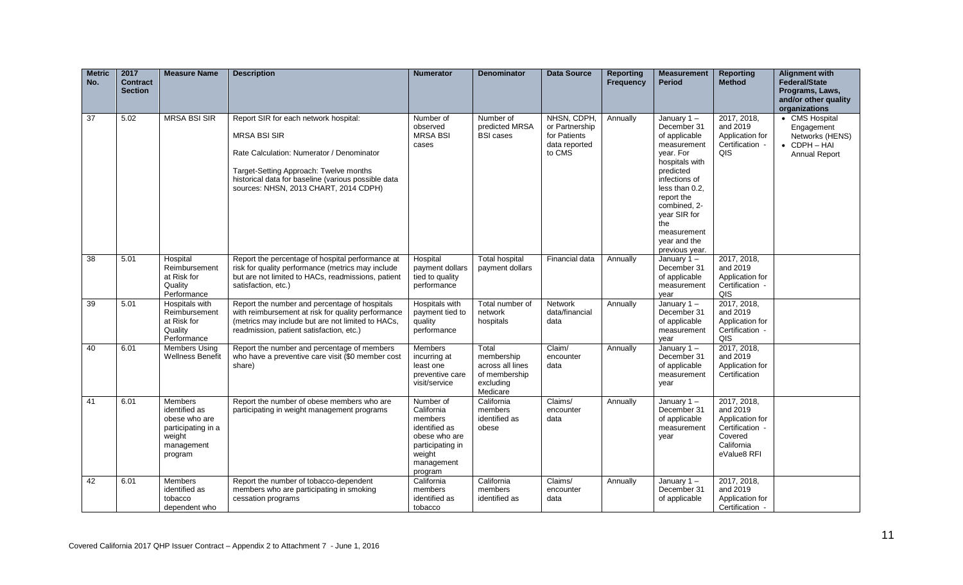| <b>Metric</b><br>No. | 2017<br><b>Contract</b><br><b>Section</b> | <b>Measure Name</b>                                                                                       | <b>Description</b>                                                                                                                                                                                                                                  | <b>Numerator</b>                                                                                                            | <b>Denominator</b>                                                                | <b>Data Source</b>                                                       | <b>Reporting</b><br><b>Frequency</b> | <b>Measurement</b><br><b>Period</b>                                                                                                                                                                                                               | <b>Reporting</b><br><b>Method</b>                                                                     | <b>Alignment with</b><br><b>Federal/State</b><br>Programs, Laws,<br>and/or other quality<br>organizations |
|----------------------|-------------------------------------------|-----------------------------------------------------------------------------------------------------------|-----------------------------------------------------------------------------------------------------------------------------------------------------------------------------------------------------------------------------------------------------|-----------------------------------------------------------------------------------------------------------------------------|-----------------------------------------------------------------------------------|--------------------------------------------------------------------------|--------------------------------------|---------------------------------------------------------------------------------------------------------------------------------------------------------------------------------------------------------------------------------------------------|-------------------------------------------------------------------------------------------------------|-----------------------------------------------------------------------------------------------------------|
| 37                   | 5.02                                      | <b>MRSA BSI SIR</b>                                                                                       | Report SIR for each network hospital:<br><b>MRSA BSI SIR</b><br>Rate Calculation: Numerator / Denominator<br>Target-Setting Approach: Twelve months<br>historical data for baseline (various possible data<br>sources: NHSN, 2013 CHART, 2014 CDPH) | Number of<br>observed<br><b>MRSA BSI</b><br>cases                                                                           | Number of<br>predicted MRSA<br><b>BSI cases</b>                                   | NHSN, CDPH,<br>or Partnership<br>for Patients<br>data reported<br>to CMS | Annually                             | January $1 -$<br>December 31<br>of applicable<br>measurement<br>vear. For<br>hospitals with<br>predicted<br>infections of<br>less than 0.2,<br>report the<br>combined, 2-<br>year SIR for<br>the<br>measurement<br>year and the<br>previous year. | 2017, 2018,<br>and 2019<br>Application for<br>Certification -<br>QIS                                  | • CMS Hospital<br>Engagement<br>Networks (HENS)<br>$\bullet$ CDPH $-$ HAI<br>Annual Report                |
| 38                   | 5.01                                      | Hospital<br>Reimbursement<br>at Risk for<br>Quality<br>Performance                                        | Report the percentage of hospital performance at<br>risk for quality performance (metrics may include<br>but are not limited to HACs, readmissions, patient<br>satisfaction, etc.)                                                                  | Hospital<br>payment dollars<br>tied to quality<br>performance                                                               | <b>Total hospital</b><br>payment dollars                                          | Financial data                                                           | Annually                             | January $1 -$<br>December 31<br>of applicable<br>measurement<br>vear                                                                                                                                                                              | 2017, 2018,<br>and 2019<br>Application for<br>Certification -<br>QIS                                  |                                                                                                           |
| 39                   | 5.01                                      | <b>Hospitals with</b><br>Reimbursement<br>at Risk for<br>Quality<br>Performance                           | Report the number and percentage of hospitals<br>with reimbursement at risk for quality performance<br>(metrics may include but are not limited to HACs,<br>readmission, patient satisfaction, etc.)                                                | Hospitals with<br>payment tied to<br>quality<br>performance                                                                 | Total number of<br>network<br>hospitals                                           | <b>Network</b><br>data/financial<br>data                                 | Annually                             | January 1-<br>December 31<br>of applicable<br>measurement<br>year                                                                                                                                                                                 | 2017, 2018,<br>and 2019<br>Application for<br>Certification -<br>QIS                                  |                                                                                                           |
| 40                   | 6.01                                      | <b>Members Using</b><br><b>Wellness Benefit</b>                                                           | Report the number and percentage of members<br>who have a preventive care visit (\$0 member cost<br>share)                                                                                                                                          | Members<br>incurring at<br>least one<br>preventive care<br>visit/service                                                    | Total<br>membership<br>across all lines<br>of membership<br>excluding<br>Medicare | Claim/<br>encounter<br>data                                              | Annually                             | January $1 -$<br>December 31<br>of applicable<br>measurement<br>year                                                                                                                                                                              | 2017, 2018,<br>and 2019<br>Application for<br>Certification                                           |                                                                                                           |
| 41                   | 6.01                                      | <b>Members</b><br>identified as<br>obese who are<br>participating in a<br>weight<br>management<br>program | Report the number of obese members who are<br>participating in weight management programs                                                                                                                                                           | Number of<br>California<br>members<br>identified as<br>obese who are<br>participating in<br>weight<br>management<br>program | California<br>members<br>identified as<br>obese                                   | Claims/<br>encounter<br>data                                             | Annually                             | January 1-<br>December 31<br>of applicable<br>measurement<br>year                                                                                                                                                                                 | 2017, 2018,<br>and 2019<br>Application for<br>Certification -<br>Covered<br>California<br>eValue8 RFI |                                                                                                           |
| 42                   | 6.01                                      | <b>Members</b><br>identified as<br>tobacco<br>dependent who                                               | Report the number of tobacco-dependent<br>members who are participating in smoking<br>cessation programs                                                                                                                                            | California<br>members<br>identified as<br>tobacco                                                                           | California<br>members<br>identified as                                            | Claims/<br>encounter<br>data                                             | Annually                             | January $1 -$<br>December 31<br>of applicable                                                                                                                                                                                                     | 2017, 2018,<br>and 2019<br>Application for<br>Certification -                                         |                                                                                                           |